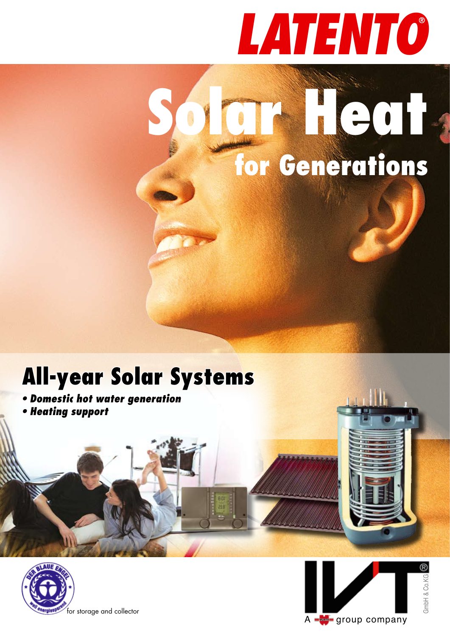# *LATENTO*

# **Solar Heat for Generations**

# **All-year Solar Systems**

- **Domestic hot water generation**
- **Heating support**



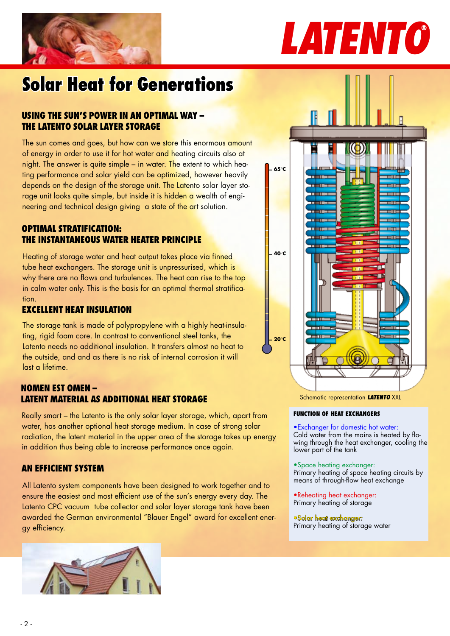

# *LATENTO*

# **Solar Heat for Generations**

# **USING THE SUN'S POWER IN AN OPTIMAL WAY – THE LATENTO SOLAR LAYER STORAGE**

The sun comes and goes, but how can we store this enormous amount of energy in order to use it for hot water and heating circuits also at night. The answer is quite simple – in water. The extent to which heating performance and solar yield can be optimized, however heavily depends on the design of the storage unit. The Latento solar layer storage unit looks quite simple, but inside it is hidden a wealth of engineering and technical design giving a state of the art solution.

# **OPTIMAL STRATIFICATION: The instantaneous water heater principle**

Heating of storage water and heat output takes place via finned tube heat exchangers. The storage unit is unpressurised, which is why there are no flows and turbulences. The heat can rise to the top in calm water only. This is the basis for an optimal thermal stratification.

# **EXCELLENT HEAT INSULATION**

The storage tank is made of polypropylene with a highly heat-insulating, rigid foam core. In contrast to conventional steel tanks, the Latento needs no additional insulation. It transfers almost no heat to the outside, and and as there is no risk of internal corrosion it will last a lifetime.

# **NOMEN EST OMEN – LATENT MATERIAL AS ADDITIONAL HEAT STORAGE**

Really smart – the Latento is the only solar layer storage, which, apart from water, has another optional heat storage medium. In case of strong solar radiation, the latent material in the upper area of the storage takes up energy in addition thus being able to increase performance once again.

# **An efficient system**

All Latento system components have been designed to work together and to ensure the easiest and most efficient use of the sun's energy every day. The Latento CPC vacuum tube collector and solar layer storage tank have been awarded the German environmental "Blauer Engel" award for excellent energy efficiency.





Schematic representation *LATENTO* XXL

# **Function of heat exchangers**

•Exchanger for domestic hot water: Cold water from the mains is heated by flo-

wing through the heat exchanger, cooling the lower part of the tank

### •Space heating exchanger:

Primary heating of space heating circuits by means of through-flow heat exchange

•Reheating heat exchanger: Primary heating of storage

### •Solar heat exchanger:

Primary heating of storage water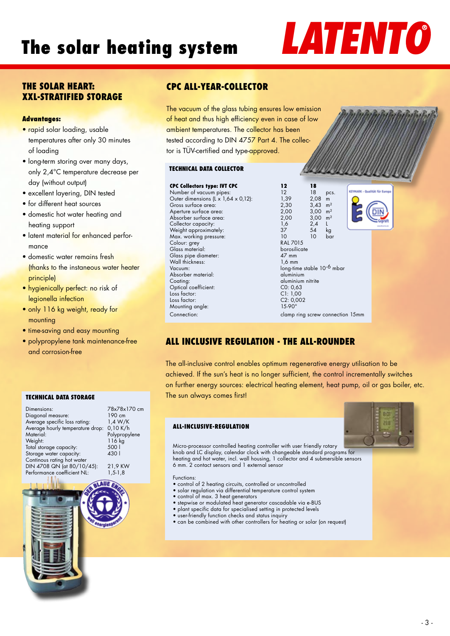# **The solar heating system**

# *LATENTO*

# **The solar heart: xxl-stratified storage**

# **Advantages:**

- rapid solar loading, usable temperatures after only 30 minutes of loading
- long-term storing over many days, only 2,4°C temperature decrease per day (without output)
- excellent layering, DIN tested
- for different heat sources
- domestic hot water heating and heating support
- latent material for enhanced perfor mance
- domestic water remains fresh (thanks to the instaneous water heater principle)
- hygienically perfect: no risk of legionella infection
- only 116 kg weight, ready for mounting
- time-saving and easy mounting
- polypropylene tank maintenance-free and corrosion-free

### **TECHNICAL DATA STORAGE**

| Dimensions:                      | 78x78x170 cm  |
|----------------------------------|---------------|
| Diagonal measure:                | 190 cm        |
| Average specific loss rating:    | 1,4 W/K       |
| Average hourly temperature drop: | 0,10 K/h      |
| Material:                        | Polypropylene |
| Weight:                          | 116 kg        |
| Total storage capacity:          | 500           |
| Storage water capacity:          | 4301          |
| Continous rating hot water       |               |
| DIN 4708 QN (at 80/10/45):       | 21,9 KW       |
| Performance coefficient NL:      | $1, 5 - 1, 8$ |
|                                  |               |

# **cpc All-year-collector**

The vacuum of the glass tubing ensures low emission of heat and thus high efficiency even in case of low ambient temperatures. The collector has been tested according to DIN 4757 Part 4. The collector is TÜV-certified and type-approved.

## **TECHNICAL DATA COLLECTOR**

| <b>CPC Collectors type: IVT CPC</b> | 12                     | 18                                  |                |  |
|-------------------------------------|------------------------|-------------------------------------|----------------|--|
| Number of vacuum pipes:             | 12 <sup>2</sup>        | 18                                  | pcs.           |  |
| Outer dimensions (L x 1,64 x 0,12): | 1,39                   | 2,08                                | m              |  |
| Gross surface area:                 | 2,30                   | $3,43$ m <sup>2</sup>               |                |  |
| Aperture surface area:              | 2,00                   | $3,00 \text{ m}^2$                  |                |  |
| Absorber surface area:              | 2,00                   | 3,00                                | m <sup>2</sup> |  |
| Collector capacity:                 | 1,6                    | 2,4                                 | L              |  |
| Weight approximately:               | 37                     | 54                                  | kg             |  |
| Max. working pressure:              | 10                     | $10-10$                             | bar            |  |
| Colour: grey                        | <b>RAL 7015</b>        |                                     |                |  |
| Glass material:                     |                        | borosilicate                        |                |  |
| Glass pipe diameter:                | 47 mm                  |                                     |                |  |
| Wall thickness:                     | $1,6$ mm               |                                     |                |  |
| Vacuum:                             |                        | long-time stable 10 <sup>-6</sup> n |                |  |
| Absorber material:                  | aluminium              |                                     |                |  |
| Coating:                            |                        | aluminium nitrite                   |                |  |
| Optical coefficient:                | CO: 0.63               |                                     |                |  |
| Loss factor:                        | CI: 1,00               |                                     |                |  |
| Loss factor:                        | C2: 0,002              |                                     |                |  |
| Mounting angle:                     | $15-90^\circ$          |                                     |                |  |
| Connection:                         | clamp ring screw conne |                                     |                |  |
|                                     |                        |                                     |                |  |

 $\frac{1,39}{2,30}$  2,08 m<br>2.30 3.43 m  $2,30$   $3,43$  m<sup>2</sup><br> $2,00$   $3,00$  m<sup>2</sup>  $2,00$   $3,00$   $\text{m}^2$ <br>2,00  $3,00$   $\text{m}^2$  $3,00 \text{ m}^2$ RAL 7015 borosilicate  $1.6$  mm long-time stable 10<sup>-6</sup> mbar aluminium aluminium nitrite  $CO: 0.63$ clamp ring screw connection 15mm



# **All Inclusive regulation - the all-rounder**

The all-inclusive control enables optimum regenerative energy utilisation to be achieved. If the sun's heat is no longer sufficient, the control incrementally switches on further energy sources: electrical heating element, heat pump, oil or gas boiler, etc. The sun always comes first!

## **All-Inclusive-RegULATION**



Micro-processor controlled heating controller with user friendly rotary knob and LC display, calendar clock with changeable standard programs for heating and hot water, incl. wall housing, 1 collector and 4 submersible sensors 6 mm. 2 contact sensors and 1 external sensor

Functions:

- control of 2 heating circuits, controlled or uncontrolled
- solar regulation via differential temperature control system
- control of max. 3 heat generators
- stepwise or modulated heat generator cascadable via e-BUS
- plant specific data for specialised setting in protected levels
- user-friendly function checks and status inquiry
- can be combined with other controllers for heating or solar (on request)